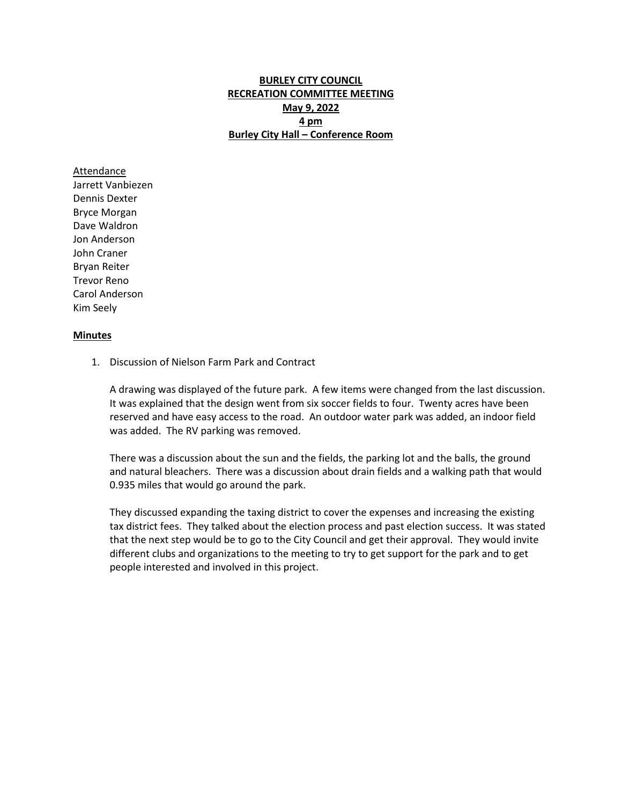## **BURLEY CITY COUNCIL RECREATION COMMITTEE MEETING May 9, 2022 4 pm Burley City Hall – Conference Room**

Attendance Jarrett Vanbiezen Dennis Dexter Bryce Morgan Dave Waldron Jon Anderson John Craner Bryan Reiter Trevor Reno Carol Anderson Kim Seely

## **Minutes**

1. Discussion of Nielson Farm Park and Contract

A drawing was displayed of the future park. A few items were changed from the last discussion. It was explained that the design went from six soccer fields to four. Twenty acres have been reserved and have easy access to the road. An outdoor water park was added, an indoor field was added. The RV parking was removed.

There was a discussion about the sun and the fields, the parking lot and the balls, the ground and natural bleachers. There was a discussion about drain fields and a walking path that would 0.935 miles that would go around the park.

They discussed expanding the taxing district to cover the expenses and increasing the existing tax district fees. They talked about the election process and past election success. It was stated that the next step would be to go to the City Council and get their approval. They would invite different clubs and organizations to the meeting to try to get support for the park and to get people interested and involved in this project.